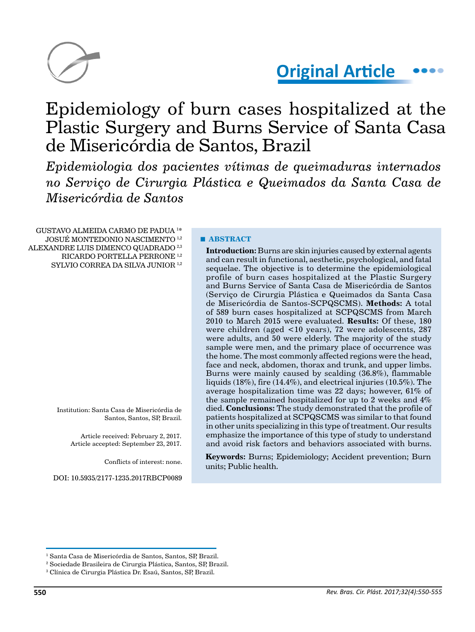

# **Original Article**

# Epidemiology of burn cases hospitalized at the Plastic Surgery and Burns Service of Santa Casa de Misericórdia de Santos, Brazil

*Epidemiologia dos pacientes vítimas de queimaduras internados no Serviço de Cirurgia Plástica e Queimados da Santa Casa de Misericórdia de Santos*

GUSTAVO ALMEIDA CARMO DE PADUA 1 \* JOSUÉ MONTEDONIO NASCIMENTO 1,2 ALEXANDRE LUIS DIMENCO QUADRADO<sup>2,3</sup> RICARDO PORTELLA PERRONE 1,2 SYLVIO CORREA DA SILVA JUNIOR<sup>1,2</sup>

> Institution: Santa Casa de Misericórdia de Santos, Santos, SP, Brazil.

> > Article received: February 2, 2017. Article accepted: September 23, 2017.

> > > Conflicts of interest: none.

DOI: 10.5935/2177-1235.2017RBCP0089

#### **■ ABSTRACT**

**Introduction:** Burns are skin injuries caused by external agents and can result in functional, aesthetic, psychological, and fatal sequelae. The objective is to determine the epidemiological profile of burn cases hospitalized at the Plastic Surgery and Burns Service of Santa Casa de Misericórdia de Santos (Serviço de Cirurgia Plástica e Queimados da Santa Casa de Misericórdia de Santos-SCPQSCMS). **Methods:** A total of 589 burn cases hospitalized at SCPQSCMS from March 2010 to March 2015 were evaluated. **Results:** Of these, 180 were children (aged <10 years), 72 were adolescents, 287 were adults, and 50 were elderly. The majority of the study sample were men, and the primary place of occurrence was the home. The most commonly affected regions were the head, face and neck, abdomen, thorax and trunk, and upper limbs. Burns were mainly caused by scalding (36.8%), flammable liquids (18%), fire (14.4%), and electrical injuries (10.5%). The average hospitalization time was 22 days; however, 61% of the sample remained hospitalized for up to 2 weeks and 4% died. **Conclusions:** The study demonstrated that the profile of patients hospitalized at SCPQSCMS was similar to that found in other units specializing in this type of treatment. Our results emphasize the importance of this type of study to understand and avoid risk factors and behaviors associated with burns.

**Keywords:** Burns; Epidemiology; Accident prevention; Burn units; Public health.

<sup>1</sup> Santa Casa de Misericórdia de Santos, Santos, SP, Brazil.

<sup>2</sup> Sociedade Brasileira de Cirurgia Plástica, Santos, SP, Brazil.

<sup>3</sup> Clínica de Cirurgia Plástica Dr. Esaú, Santos, SP, Brazil.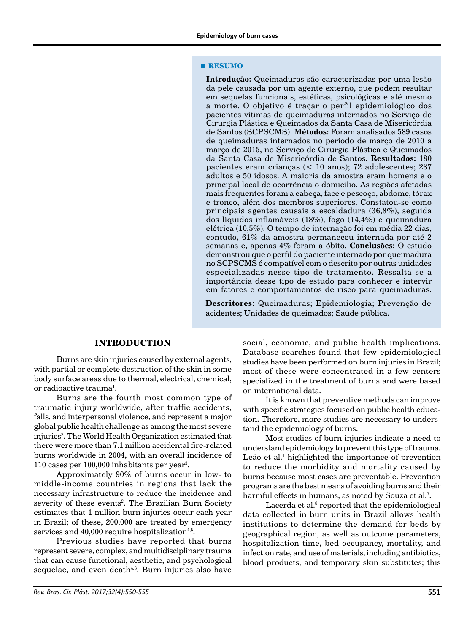#### **■ RESUMO**

**Introdução:** Queimaduras são caracterizadas por uma lesão da pele causada por um agente externo, que podem resultar em sequelas funcionais, estéticas, psicológicas e até mesmo a morte. O objetivo é traçar o perfil epidemiológico dos pacientes vítimas de queimaduras internados no Serviço de Cirurgia Plástica e Queimados da Santa Casa de Misericórdia de Santos (SCPSCMS). **Métodos:** Foram analisados 589 casos de queimaduras internados no período de março de 2010 a março de 2015, no Serviço de Cirurgia Plástica e Queimados da Santa Casa de Misericórdia de Santos. **Resultados:** 180 pacientes eram crianças (< 10 anos); 72 adolescentes; 287 adultos e 50 idosos. A maioria da amostra eram homens e o principal local de ocorrência o domicílio. As regiões afetadas mais frequentes foram a cabeça, face e pescoço, abdome, tórax e tronco, além dos membros superiores. Constatou-se como principais agentes causais a escaldadura (36,8%), seguida dos líquidos inflamáveis (18%), fogo (14,4%) e queimadura elétrica (10,5%). O tempo de internação foi em média 22 dias, contudo, 61% da amostra permaneceu internada por até 2 semanas e, apenas 4% foram a óbito. **Conclusões:** O estudo demonstrou que o perfil do paciente internado por queimadura no SCPSCMS é compatível com o descrito por outras unidades especializadas nesse tipo de tratamento. Ressalta-se a importância desse tipo de estudo para conhecer e intervir em fatores e comportamentos de risco para queimaduras.

**Descritores:** Queimaduras; Epidemiologia; Prevenção de acidentes; Unidades de queimados; Saúde pública.

#### **INTRODUCTION**

Burns are skin injuries caused by external agents, with partial or complete destruction of the skin in some body surface areas due to thermal, electrical, chemical, or radioactive trauma<sup>1</sup>.

Burns are the fourth most common type of traumatic injury worldwide, after traffic accidents, falls, and interpersonal violence, and represent a major global public health challenge as among the most severe injuries<sup>2</sup>. The World Health Organization estimated that there were more than 7.1 million accidental fire-related burns worldwide in 2004, with an overall incidence of 110 cases per 100,000 inhabitants per year<sup>3</sup>.

Approximately 90% of burns occur in low- to middle-income countries in regions that lack the necessary infrastructure to reduce the incidence and severity of these events<sup>2</sup>. The Brazilian Burn Society estimates that 1 million burn injuries occur each year in Brazil; of these, 200,000 are treated by emergency services and  $40,000$  require hospitalization<sup>4,5</sup>.

Previous studies have reported that burns represent severe, complex, and multidisciplinary trauma that can cause functional, aesthetic, and psychological sequelae, and even death $4,6$ . Burn injuries also have social, economic, and public health implications. Database searches found that few epidemiological studies have been performed on burn injuries in Brazil; most of these were concentrated in a few centers specialized in the treatment of burns and were based on international data.

It is known that preventive methods can improve with specific strategies focused on public health education. Therefore, more studies are necessary to understand the epidemiology of burns.

Most studies of burn injuries indicate a need to understand epidemiology to prevent this type of trauma. Leão et al.<sup>1</sup> highlighted the importance of prevention to reduce the morbidity and mortality caused by burns because most cases are preventable. Prevention programs are the best means of avoiding burns and their harmful effects in humans, as noted by Souza et al.<sup>7</sup>.

Lacerda et al.<sup>8</sup> reported that the epidemiological data collected in burn units in Brazil allows health institutions to determine the demand for beds by geographical region, as well as outcome parameters, hospitalization time, bed occupancy, mortality, and infection rate, and use of materials, including antibiotics, blood products, and temporary skin substitutes; this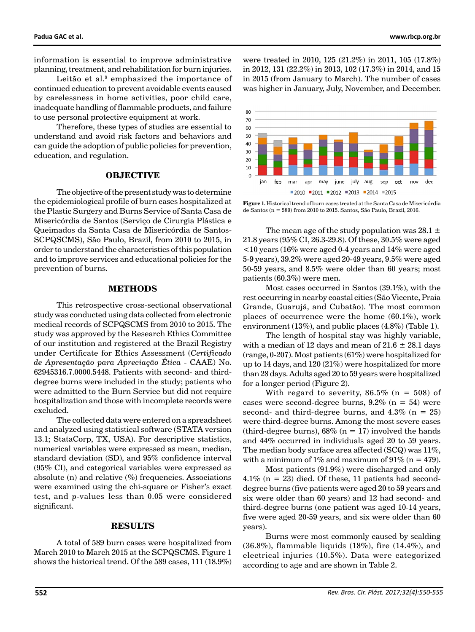information is essential to improve administrative planning, treatment, and rehabilitation for burn injuries.

Leitão et al.<sup>9</sup> emphasized the importance of continued education to prevent avoidable events caused by carelessness in home activities, poor child care, inadequate handling of flammable products, and failure to use personal protective equipment at work.

Therefore, these types of studies are essential to understand and avoid risk factors and behaviors and can guide the adoption of public policies for prevention, education, and regulation.

# **OBJECTIVE**

The objective of the present study was to determine the epidemiological profile of burn cases hospitalized at the Plastic Surgery and Burns Service of Santa Casa de Misericórdia de Santos (Serviço de Cirurgia Plástica e Queimados da Santa Casa de Misericórdia de Santos-SCPQSCMS), São Paulo, Brazil, from 2010 to 2015, in order to understand the characteristics of this population and to improve services and educational policies for the prevention of burns.

#### **METHODS**

This retrospective cross-sectional observational study was conducted using data collected from electronic medical records of SCPQSCMS from 2010 to 2015. The study was approved by the Research Ethics Committee of our institution and registered at the Brazil Registry under Certificate for Ethics Assessment (*Certificado de Apresentação para Apreciação Ética* - CAAE) No. 62945316.7.0000.5448. Patients with second- and thirddegree burns were included in the study; patients who were admitted to the Burn Service but did not require hospitalization and those with incomplete records were excluded.

The collected data were entered on a spreadsheet and analyzed using statistical software (STATA version 13.1; StataCorp, TX, USA). For descriptive statistics, numerical variables were expressed as mean, median, standard deviation (SD), and 95% confidence interval (95% CI), and categorical variables were expressed as absolute (n) and relative  $(\%)$  frequencies. Associations were examined using the chi-square or Fisher's exact test, and *p*-values less than 0.05 were considered significant.

### **RESULTS**

A total of 589 burn cases were hospitalized from March 2010 to March 2015 at the SCPQSCMS. Figure 1 shows the historical trend. Of the 589 cases, 111 (18.9%) were treated in 2010, 125 (21.2%) in 2011, 105 (17.8%) in 2012, 131 (22.2%) in 2013, 102 (17.3%) in 2014, and 15 in 2015 (from January to March). The number of cases was higher in January, July, November, and December.



**Figure 1.** Historical trend of burn cases treated at the Santa Casa de Misericórdia de Santos (n = 589) from 2010 to 2015. Santos, São Paulo, Brazil, 2016.

The mean age of the study population was 28.1  $\pm$ 21.8 years (95% CI, 26.3-29.8). Of these, 30.5% were aged <10 years (16% were aged 0-4 years and 14% were aged 5-9 years), 39.2% were aged 20-49 years, 9.5% were aged 50-59 years, and 8.5% were older than 60 years; most patients (60.3%) were men.

Most cases occurred in Santos (39.1%), with the rest occurring in nearby coastal cities (São Vicente, Praia Grande, Guarujá, and Cubatão). The most common places of occurrence were the home (60.1%), work environment (13%), and public places (4.8%) (Table 1).

The length of hospital stay was highly variable, with a median of 12 days and mean of  $21.6 \pm 28.1$  days (range, 0-207). Most patients (61%) were hospitalized for up to 14 days, and 120 (21%) were hospitalized for more than 28 days. Adults aged 20 to 59 years were hospitalized for a longer period (Figure 2).

With regard to severity,  $86.5\%$  (n = 508) of cases were second-degree burns,  $9.2\%$  (n = 54) were second- and third-degree burns, and  $4.3\%$  (n = 25) were third-degree burns. Among the most severe cases (third-degree burns),  $68\%$  (n = 17) involved the hands and 44% occurred in individuals aged 20 to 59 years. The median body surface area affected  $(SCQ)$  was  $11\%$ , with a minimum of 1% and maximum of 91% ( $n = 479$ ).

Most patients (91.9%) were discharged and only 4.1% ( $n = 23$ ) died. Of these, 11 patients had seconddegree burns (five patients were aged 20 to 59 years and six were older than 60 years) and 12 had second- and third-degree burns (one patient was aged 10-14 years, five were aged 20-59 years, and six were older than 60 years).

Burns were most commonly caused by scalding (36.8%), flammable liquids (18%), fire (14.4%), and electrical injuries (10.5%). Data were categorized according to age and are shown in Table 2.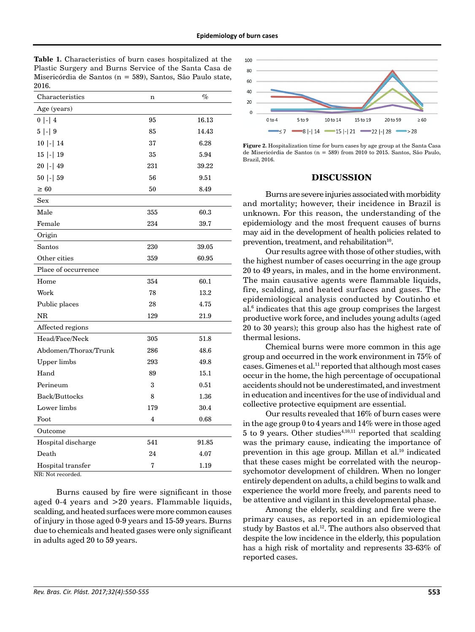**Table 1.** Characteristics of burn cases hospitalized at the Plastic Surgery and Burns Service of the Santa Casa de Misericórdia de Santos (n = 589), Santos, São Paulo state, 2016.

| Characteristics                       | n   | $\%$  |
|---------------------------------------|-----|-------|
| Age (years)                           |     |       |
| $0$  -  4                             | 95  | 16.13 |
| $5$  -  9                             | 85  | 14.43 |
| $10$  -  14                           | 37  | 6.28  |
| $15$  -  $19$                         | 35  | 5.94  |
| $20$  -  49                           | 231 | 39.22 |
| 50  -  59                             | 56  | 9.51  |
| $\geq 60$                             | 50  | 8.49  |
| Sex                                   |     |       |
| Male                                  | 355 | 60.3  |
| Female                                | 234 | 39.7  |
| Origin                                |     |       |
| Santos                                | 230 | 39.05 |
| Other cities                          | 359 | 60.95 |
| Place of occurrence                   |     |       |
| Home                                  | 354 | 60.1  |
| Work                                  | 78  | 13.2  |
| Public places                         | 28  | 4.75  |
| $_{\rm NR}$                           | 129 | 21.9  |
| Affected regions                      |     |       |
| Head/Face/Neck                        | 305 | 51.8  |
| Abdomen/Thorax/Trunk                  | 286 | 48.6  |
| <b>Upper</b> limbs                    | 293 | 49.8  |
| Hand                                  | 89  | 15.1  |
| Perineum                              | 3   | 0.51  |
| Back/Buttocks                         | 8   | 1.36  |
| Lower limbs                           | 179 | 30.4  |
| Foot                                  | 4   | 0.68  |
| Outcome                               |     |       |
| Hospital discharge                    | 541 | 91.85 |
| Death                                 | 24  | 4.07  |
| Hospital transfer                     | 7   | 1.19  |
| $\text{NR} \cdot \text{Not recorded}$ |     |       |

NR: Not recorded.

Burns caused by fire were significant in those aged 0-4 years and >20 years. Flammable liquids, scalding, and heated surfaces were more common causes of injury in those aged 0-9 years and 15-59 years. Burns due to chemicals and heated gases were only significant in adults aged 20 to 59 years.



**Figure 2.** Hospitalization time for burn cases by age group at the Santa Casa de Misericórdia de Santos (n = 589) from 2010 to 2015. Santos, São Paulo, Brazil, 2016.

#### **DISCUSSION**

Burns are severe injuries associated with morbidity and mortality; however, their incidence in Brazil is unknown. For this reason, the understanding of the epidemiology and the most frequent causes of burns may aid in the development of health policies related to prevention, treatment, and rehabilitation $10$ .

Our results agree with those of other studies, with the highest number of cases occurring in the age group 20 to 49 years, in males, and in the home environment. The main causative agents were flammable liquids, fire, scalding, and heated surfaces and gases. The epidemiological analysis conducted by Coutinho et al.<sup>6</sup> indicates that this age group comprises the largest productive work force, and includes young adults (aged 20 to 30 years); this group also has the highest rate of thermal lesions.

Chemical burns were more common in this age group and occurred in the work environment in 75% of cases. Gimenes et al.11 reported that although most cases occur in the home, the high percentage of occupational accidents should not be underestimated, and investment in education and incentives for the use of individual and collective protective equipment are essential.

Our results revealed that 16% of burn cases were in the age group 0 to 4 years and 14% were in those aged 5 to 9 years. Other studies<sup> $4,10,11$ </sup> reported that scalding was the primary cause, indicating the importance of prevention in this age group. Millan et al.<sup>10</sup> indicated that these cases might be correlated with the neuropsychomotor development of children. When no longer entirely dependent on adults, a child begins to walk and experience the world more freely, and parents need to be attentive and vigilant in this developmental phase.

Among the elderly, scalding and fire were the primary causes, as reported in an epidemiological study by Bastos et al.<sup>12</sup>. The authors also observed that despite the low incidence in the elderly, this population has a high risk of mortality and represents 33-63% of reported cases.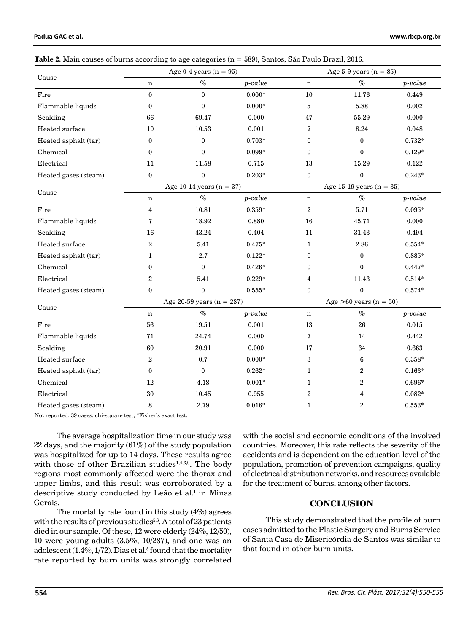| Padua GAC et al. |  |
|------------------|--|
|------------------|--|

| Table 2. Main causes of burns according to age categories ( $n = 589$ ), Santos, São Paulo Brazil, 2016. |  |  |  |
|----------------------------------------------------------------------------------------------------------|--|--|--|
|----------------------------------------------------------------------------------------------------------|--|--|--|

| Cause                | Age $0-4$ years $(n = 95)$  |                  |                          | Age 5-9 years $(n = 85)$   |                  |           |  |
|----------------------|-----------------------------|------------------|--------------------------|----------------------------|------------------|-----------|--|
|                      | $\mathbf n$                 | $\%$             | $p-value$                | $\mathbf n$                | $\%$             | $p-value$ |  |
| Fire                 | $\mathbf{0}$                | $\bf{0}$         | $0.000*$                 | 10                         | 11.76            | 0.449     |  |
| Flammable liquids    | $\bf{0}$                    | $\boldsymbol{0}$ | $0.000*$                 | $\mathbf 5$                | 5.88             | 0.002     |  |
| Scalding             | 66                          | 69.47            | 0.000                    | 47                         | 55.29            | 0.000     |  |
| Heated surface       | 10                          | 10.53            | 0.001                    | 7                          | 8.24             | 0.048     |  |
| Heated asphalt (tar) | $\bf{0}$                    | $\bf{0}$         | $0.703*$                 | $\boldsymbol{0}$           | $\boldsymbol{0}$ | $0.732*$  |  |
| Chemical             | $\mathbf{0}$                | $\bf{0}$         | $0.099*$                 | $\bf{0}$                   | $\bf{0}$         | $0.129*$  |  |
| Electrical           | 11                          | 11.58            | 0.715                    | 13                         | 15.29            | 0.122     |  |
| Heated gases (steam) | $\boldsymbol{0}$            | $\bf{0}$         | $0.203*$                 | $\bf{0}$                   | $\pmb{0}$        | $0.243*$  |  |
| Cause                | Age 10-14 years $(n = 37)$  |                  |                          | Age 15-19 years $(n = 35)$ |                  |           |  |
|                      | n                           | $\%$             | $p-value$                | $\mathbf n$                | $\%$             | $p-value$ |  |
| Fire                 | $\overline{4}$              | 10.81            | $0.359*$                 | $\overline{2}$             | 5.71             | $0.095*$  |  |
| Flammable liquids    | $\overline{7}$              | 18.92            | 0.880                    | 16                         | 45.71            | 0.000     |  |
| Scalding             | 16                          | 43.24            | 0.404                    | 11                         | 31.43            | 0.494     |  |
| Heated surface       | $\overline{2}$              | 5.41             | $0.475*$                 | $\mathbf{1}$               | 2.86             | $0.554*$  |  |
| Heated asphalt (tar) | 1                           | 2.7              | $0.122*$                 | $\bf{0}$                   | $\bf{0}$         | 0.885*    |  |
| Chemical             | $\bf{0}$                    | $\bf{0}$         | $0.426*$                 | $\boldsymbol{0}$           | $\boldsymbol{0}$ | $0.447*$  |  |
| Electrical           | $\overline{2}$              | 5.41             | $0.229*$                 | 4                          | 11.43            | $0.514*$  |  |
| Heated gases (steam) | $\bf{0}$                    | $\bf{0}$         | $0.555*$                 | $\bf{0}$                   | $\bf{0}$         | $0.574*$  |  |
| Cause                | Age 20-59 years $(n = 287)$ |                  | Age $>60$ years (n = 50) |                            |                  |           |  |
|                      | n                           | $\%$             | $p-value$                | $\mathbf n$                | $\%$             | $p-value$ |  |
| Fire                 | 56                          | 19.51            | 0.001                    | 13                         | 26               | 0.015     |  |
| Flammable liquids    | 71                          | 24.74            | 0.000                    | $\bf 7$                    | 14               | 0.442     |  |
| Scalding             | 60                          | 20.91            | 0.000                    | 17                         | 34               | 0.663     |  |
| Heated surface       | $\overline{2}$              | 0.7              | $0.000*$                 | $\bf 3$                    | $\bf 6$          | $0.358*$  |  |
| Heated asphalt (tar) | $\bf{0}$                    | $\bf{0}$         | $0.262*$                 | $\mathbf{1}$               | 2                | $0.163*$  |  |
| Chemical             | 12                          | 4.18             | $0.001*$                 | $\mathbf{1}$               | $\overline{c}$   | $0.696*$  |  |
| Electrical           | 30                          | 10.45            | 0.955                    | $\overline{c}$             | 4                | $0.082*$  |  |
| Heated gases (steam) | 8                           | 2.79             | $0.016*$                 | $\mathbf{1}$               | $\overline{2}$   | $0.553*$  |  |

Not reported: 39 cases; chi-square test; \*Fisher's exact test.

The average hospitalization time in our study was 22 days, and the majority (61%) of the study population was hospitalized for up to 14 days. These results agree with those of other Brazilian studies<sup>1,4,6,9</sup>. The body regions most commonly affected were the thorax and upper limbs, and this result was corroborated by a descriptive study conducted by Leão et al.<sup>1</sup> in Minas Gerais.

The mortality rate found in this study (4%) agrees with the results of previous studies<sup>5,6</sup>. A total of 23 patients died in our sample. Of these, 12 were elderly (24%, 12/50), 10 were young adults (3.5%, 10/287), and one was an adolescent (1.4%, 1/72). Dias et al.<sup>5</sup> found that the mortality rate reported by burn units was strongly correlated

with the social and economic conditions of the involved countries. Moreover, this rate reflects the severity of the accidents and is dependent on the education level of the population, promotion of prevention campaigns, quality of electrical distribution networks, and resources available for the treatment of burns, among other factors.

# **CONCLUSION**

This study demonstrated that the profile of burn cases admitted to the Plastic Surgery and Burns Service of Santa Casa de Misericórdia de Santos was similar to that found in other burn units.